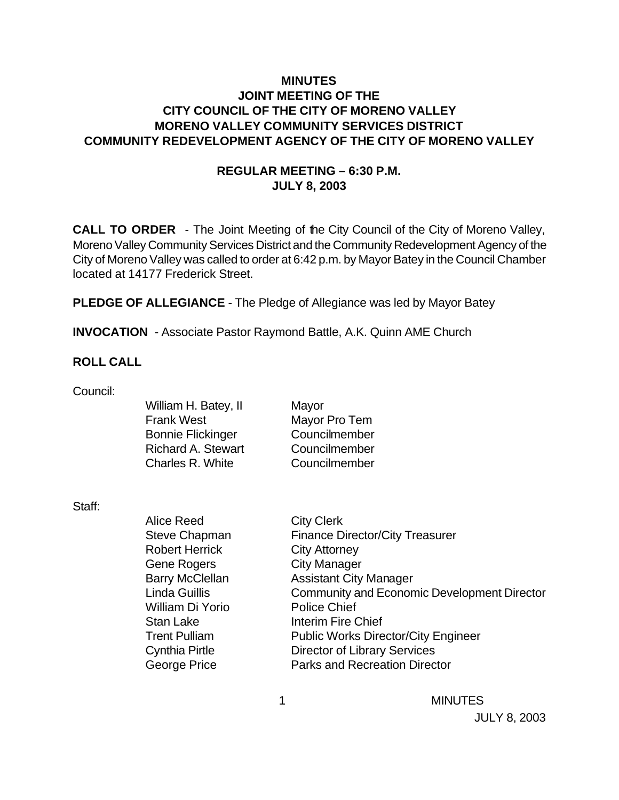## **MINUTES JOINT MEETING OF THE CITY COUNCIL OF THE CITY OF MORENO VALLEY MORENO VALLEY COMMUNITY SERVICES DISTRICT COMMUNITY REDEVELOPMENT AGENCY OF THE CITY OF MORENO VALLEY**

## **REGULAR MEETING – 6:30 P.M. JULY 8, 2003**

**CALL TO ORDER** - The Joint Meeting of the City Council of the City of Moreno Valley, Moreno Valley Community Services District and the Community Redevelopment Agency of the City of Moreno Valley was called to order at 6:42 p.m. by Mayor Batey in the Council Chamber located at 14177 Frederick Street.

**PLEDGE OF ALLEGIANCE** - The Pledge of Allegiance was led by Mayor Batey

**INVOCATION** - Associate Pastor Raymond Battle, A.K. Quinn AME Church

#### **ROLL CALL**

Council:

| William H. Batey, II      | Mayor         |
|---------------------------|---------------|
| <b>Frank West</b>         | Mayor Pro Tem |
| <b>Bonnie Flickinger</b>  | Councilmember |
| <b>Richard A. Stewart</b> | Councilmember |
| Charles R. White          | Councilmember |
|                           |               |

Staff:

| <b>Alice Reed</b>      | <b>City Clerk</b>                                  |
|------------------------|----------------------------------------------------|
| Steve Chapman          | <b>Finance Director/City Treasurer</b>             |
| <b>Robert Herrick</b>  | <b>City Attorney</b>                               |
| <b>Gene Rogers</b>     | <b>City Manager</b>                                |
| <b>Barry McClellan</b> | <b>Assistant City Manager</b>                      |
| <b>Linda Guillis</b>   | <b>Community and Economic Development Director</b> |
| William Di Yorio       | <b>Police Chief</b>                                |
| Stan Lake              | <b>Interim Fire Chief</b>                          |
| <b>Trent Pulliam</b>   | <b>Public Works Director/City Engineer</b>         |
| <b>Cynthia Pirtle</b>  | <b>Director of Library Services</b>                |
| <b>George Price</b>    | <b>Parks and Recreation Director</b>               |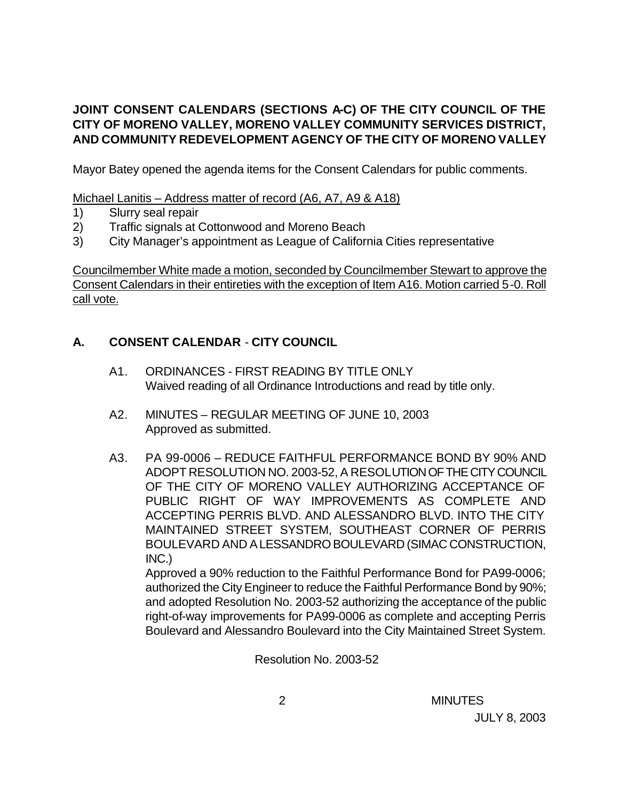# **JOINT CONSENT CALENDARS (SECTIONS A-C) OF THE CITY COUNCIL OF THE CITY OF MORENO VALLEY, MORENO VALLEY COMMUNITY SERVICES DISTRICT, AND COMMUNITY REDEVELOPMENT AGENCY OF THE CITY OF MORENO VALLEY**

Mayor Batey opened the agenda items for the Consent Calendars for public comments.

Michael Lanitis – Address matter of record (A6, A7, A9 & A18)

- 1) Slurry seal repair
- 2) Traffic signals at Cottonwood and Moreno Beach
- 3) City Manager's appointment as League of California Cities representative

Councilmember White made a motion, seconded by Councilmember Stewart to approve the Consent Calendars in their entireties with the exception of Item A16. Motion carried 5-0. Roll call vote.

# **A. CONSENT CALENDAR** - **CITY COUNCIL**

- A1. ORDINANCES FIRST READING BY TITLE ONLY Waived reading of all Ordinance Introductions and read by title only.
- A2. MINUTES REGULAR MEETING OF JUNE 10, 2003 Approved as submitted.
- A3. PA 99-0006 REDUCE FAITHFUL PERFORMANCE BOND BY 90% AND ADOPT RESOLUTION NO. 2003-52, A RESOLUTION OF THE CITY COUNCIL OF THE CITY OF MORENO VALLEY AUTHORIZING ACCEPTANCE OF PUBLIC RIGHT OF WAY IMPROVEMENTS AS COMPLETE AND ACCEPTING PERRIS BLVD. AND ALESSANDRO BLVD. INTO THE CITY MAINTAINED STREET SYSTEM, SOUTHEAST CORNER OF PERRIS BOULEVARD AND ALESSANDRO BOULEVARD (SIMAC CONSTRUCTION, INC.)

Approved a 90% reduction to the Faithful Performance Bond for PA99-0006; authorized the City Engineer to reduce the Faithful Performance Bond by 90%; and adopted Resolution No. 2003-52 authorizing the acceptance of the public right-of-way improvements for PA99-0006 as complete and accepting Perris Boulevard and Alessandro Boulevard into the City Maintained Street System.

Resolution No. 2003-52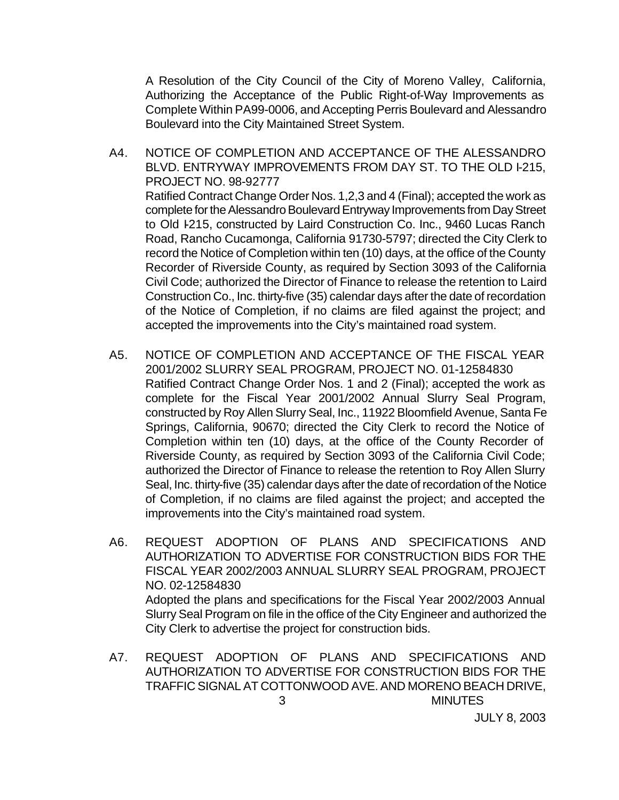A Resolution of the City Council of the City of Moreno Valley, California, Authorizing the Acceptance of the Public Right-of-Way Improvements as Complete Within PA99-0006, and Accepting Perris Boulevard and Alessandro Boulevard into the City Maintained Street System.

- A4. NOTICE OF COMPLETION AND ACCEPTANCE OF THE ALESSANDRO BLVD. ENTRYWAY IMPROVEMENTS FROM DAY ST. TO THE OLD I-215, PROJECT NO. 98-92777 Ratified Contract Change Order Nos. 1,2,3 and 4 (Final); accepted the work as complete for the Alessandro Boulevard Entryway Improvements from Day Street to Old I-215, constructed by Laird Construction Co. Inc., 9460 Lucas Ranch Road, Rancho Cucamonga, California 91730-5797; directed the City Clerk to record the Notice of Completion within ten (10) days, at the office of the County Recorder of Riverside County, as required by Section 3093 of the California Civil Code; authorized the Director of Finance to release the retention to Laird Construction Co., Inc. thirty-five (35) calendar days after the date of recordation of the Notice of Completion, if no claims are filed against the project; and accepted the improvements into the City's maintained road system.
- A5. NOTICE OF COMPLETION AND ACCEPTANCE OF THE FISCAL YEAR 2001/2002 SLURRY SEAL PROGRAM, PROJECT NO. 01-12584830 Ratified Contract Change Order Nos. 1 and 2 (Final); accepted the work as complete for the Fiscal Year 2001/2002 Annual Slurry Seal Program, constructed by Roy Allen Slurry Seal, Inc., 11922 Bloomfield Avenue, Santa Fe Springs, California, 90670; directed the City Clerk to record the Notice of Completion within ten (10) days, at the office of the County Recorder of Riverside County, as required by Section 3093 of the California Civil Code; authorized the Director of Finance to release the retention to Roy Allen Slurry Seal, Inc. thirty-five (35) calendar days after the date of recordation of the Notice of Completion, if no claims are filed against the project; and accepted the improvements into the City's maintained road system.
- A6. REQUEST ADOPTION OF PLANS AND SPECIFICATIONS AND AUTHORIZATION TO ADVERTISE FOR CONSTRUCTION BIDS FOR THE FISCAL YEAR 2002/2003 ANNUAL SLURRY SEAL PROGRAM, PROJECT NO. 02-12584830 Adopted the plans and specifications for the Fiscal Year 2002/2003 Annual Slurry Seal Program on file in the office of the City Engineer and authorized the City Clerk to advertise the project for construction bids.
- 3 MINUTES A7. REQUEST ADOPTION OF PLANS AND SPECIFICATIONS AND AUTHORIZATION TO ADVERTISE FOR CONSTRUCTION BIDS FOR THE TRAFFIC SIGNAL AT COTTONWOOD AVE. AND MORENO BEACH DRIVE,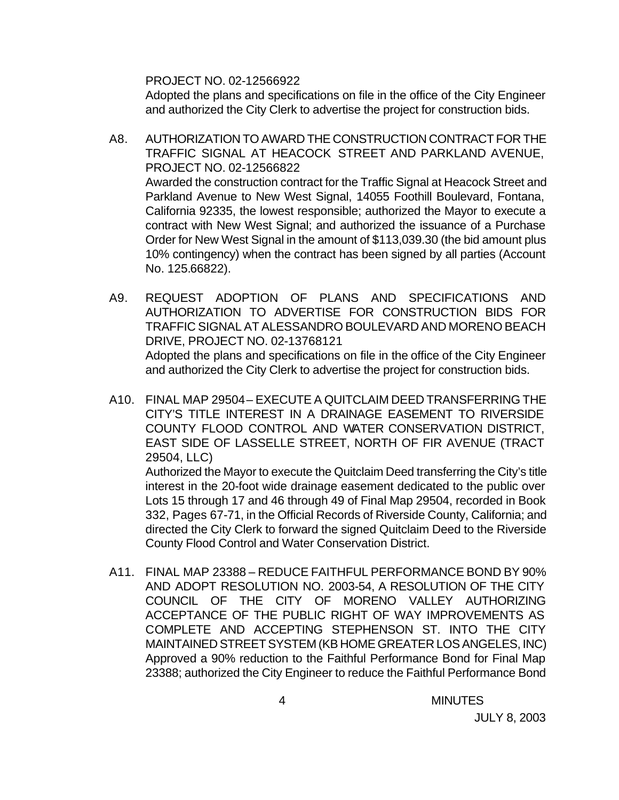PROJECT NO. 02-12566922

Adopted the plans and specifications on file in the office of the City Engineer and authorized the City Clerk to advertise the project for construction bids.

- A8. AUTHORIZATION TO AWARD THE CONSTRUCTION CONTRACT FOR THE TRAFFIC SIGNAL AT HEACOCK STREET AND PARKLAND AVENUE, PROJECT NO. 02-12566822 Awarded the construction contract for the Traffic Signal at Heacock Street and Parkland Avenue to New West Signal, 14055 Foothill Boulevard, Fontana, California 92335, the lowest responsible; authorized the Mayor to execute a contract with New West Signal; and authorized the issuance of a Purchase Order for New West Signal in the amount of \$113,039.30 (the bid amount plus 10% contingency) when the contract has been signed by all parties (Account No. 125.66822).
- A9. REQUEST ADOPTION OF PLANS AND SPECIFICATIONS AND AUTHORIZATION TO ADVERTISE FOR CONSTRUCTION BIDS FOR TRAFFIC SIGNAL AT ALESSANDRO BOULEVARD AND MORENO BEACH DRIVE, PROJECT NO. 02-13768121 Adopted the plans and specifications on file in the office of the City Engineer and authorized the City Clerk to advertise the project for construction bids.
- A10. FINAL MAP 29504 EXECUTE A QUITCLAIM DEED TRANSFERRING THE CITY'S TITLE INTEREST IN A DRAINAGE EASEMENT TO RIVERSIDE COUNTY FLOOD CONTROL AND WATER CONSERVATION DISTRICT, EAST SIDE OF LASSELLE STREET, NORTH OF FIR AVENUE (TRACT 29504, LLC)

Authorized the Mayor to execute the Quitclaim Deed transferring the City's title interest in the 20-foot wide drainage easement dedicated to the public over Lots 15 through 17 and 46 through 49 of Final Map 29504, recorded in Book 332, Pages 67-71, in the Official Records of Riverside County, California; and directed the City Clerk to forward the signed Quitclaim Deed to the Riverside County Flood Control and Water Conservation District.

A11. FINAL MAP 23388 – REDUCE FAITHFUL PERFORMANCE BOND BY 90% AND ADOPT RESOLUTION NO. 2003-54, A RESOLUTION OF THE CITY COUNCIL OF THE CITY OF MORENO VALLEY AUTHORIZING ACCEPTANCE OF THE PUBLIC RIGHT OF WAY IMPROVEMENTS AS COMPLETE AND ACCEPTING STEPHENSON ST. INTO THE CITY MAINTAINED STREET SYSTEM (KB HOME GREATER LOS ANGELES, INC) Approved a 90% reduction to the Faithful Performance Bond for Final Map 23388; authorized the City Engineer to reduce the Faithful Performance Bond

4 MINUTES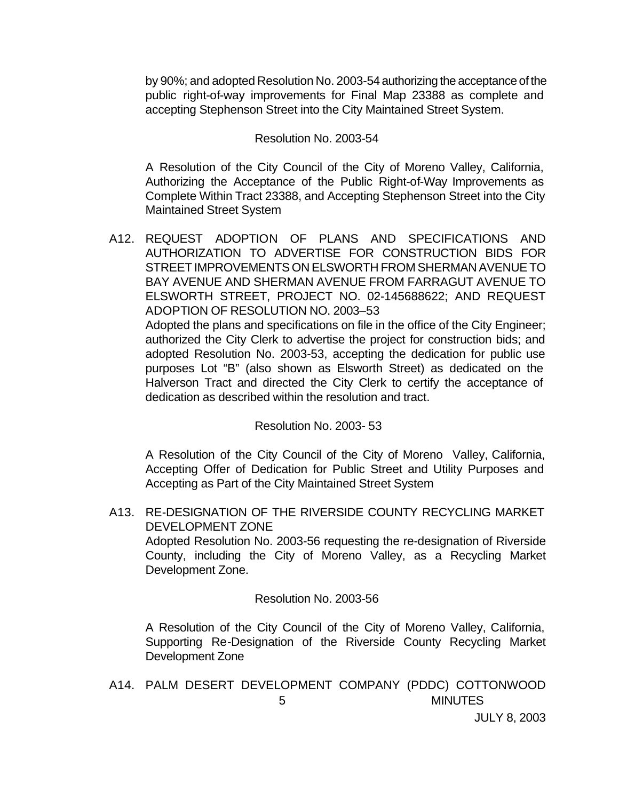by 90%; and adopted Resolution No. 2003-54 authorizing the acceptance of the public right-of-way improvements for Final Map 23388 as complete and accepting Stephenson Street into the City Maintained Street System.

#### Resolution No. 2003-54

A Resolution of the City Council of the City of Moreno Valley, California, Authorizing the Acceptance of the Public Right-of-Way Improvements as Complete Within Tract 23388, and Accepting Stephenson Street into the City Maintained Street System

A12. REQUEST ADOPTION OF PLANS AND SPECIFICATIONS AND AUTHORIZATION TO ADVERTISE FOR CONSTRUCTION BIDS FOR STREET IMPROVEMENTS ON ELSWORTH FROM SHERMAN AVENUE TO BAY AVENUE AND SHERMAN AVENUE FROM FARRAGUT AVENUE TO ELSWORTH STREET, PROJECT NO. 02-145688622; AND REQUEST ADOPTION OF RESOLUTION NO. 2003–53 Adopted the plans and specifications on file in the office of the City Engineer;

authorized the City Clerk to advertise the project for construction bids; and adopted Resolution No. 2003-53, accepting the dedication for public use purposes Lot "B" (also shown as Elsworth Street) as dedicated on the Halverson Tract and directed the City Clerk to certify the acceptance of dedication as described within the resolution and tract.

#### Resolution No. 2003- 53

A Resolution of the City Council of the City of Moreno Valley, California, Accepting Offer of Dedication for Public Street and Utility Purposes and Accepting as Part of the City Maintained Street System

A13. RE-DESIGNATION OF THE RIVERSIDE COUNTY RECYCLING MARKET DEVELOPMENT ZONE

Adopted Resolution No. 2003-56 requesting the re-designation of Riverside County, including the City of Moreno Valley, as a Recycling Market Development Zone.

#### Resolution No. 2003-56

A Resolution of the City Council of the City of Moreno Valley, California, Supporting Re-Designation of the Riverside County Recycling Market Development Zone

 5 MINUTES A14. PALM DESERT DEVELOPMENT COMPANY (PDDC) COTTONWOOD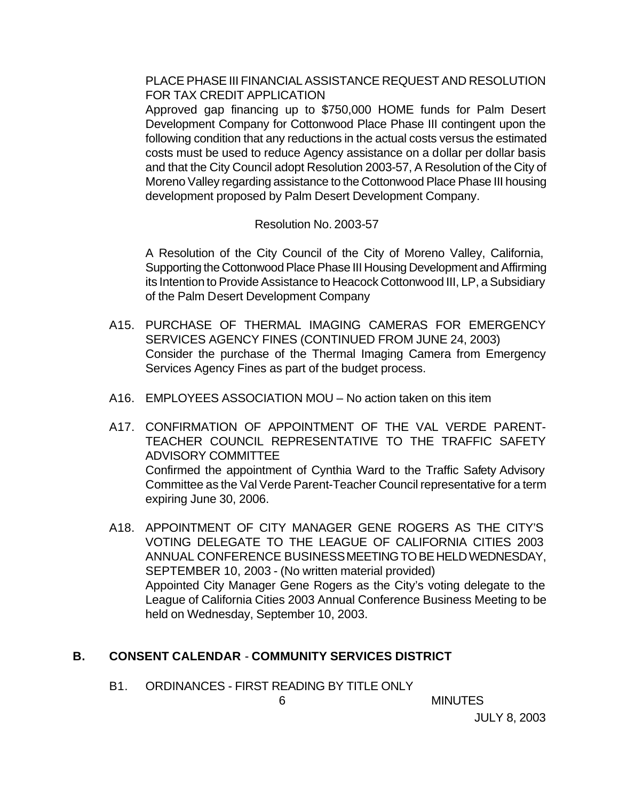PLACE PHASE III FINANCIAL ASSISTANCE REQUEST AND RESOLUTION FOR TAX CREDIT APPLICATION

Approved gap financing up to \$750,000 HOME funds for Palm Desert Development Company for Cottonwood Place Phase III contingent upon the following condition that any reductions in the actual costs versus the estimated costs must be used to reduce Agency assistance on a dollar per dollar basis and that the City Council adopt Resolution 2003-57, A Resolution of the City of Moreno Valley regarding assistance to the Cottonwood Place Phase III housing development proposed by Palm Desert Development Company.

#### Resolution No. 2003-57

A Resolution of the City Council of the City of Moreno Valley, California, Supporting the Cottonwood Place Phase III Housing Development and Affirming its Intention to Provide Assistance to Heacock Cottonwood III, LP, a Subsidiary of the Palm Desert Development Company

- A15. PURCHASE OF THERMAL IMAGING CAMERAS FOR EMERGENCY SERVICES AGENCY FINES (CONTINUED FROM JUNE 24, 2003) Consider the purchase of the Thermal Imaging Camera from Emergency Services Agency Fines as part of the budget process.
- A16. EMPLOYEES ASSOCIATION MOU No action taken on this item
- A17. CONFIRMATION OF APPOINTMENT OF THE VAL VERDE PARENT-TEACHER COUNCIL REPRESENTATIVE TO THE TRAFFIC SAFETY ADVISORY COMMITTEE Confirmed the appointment of Cynthia Ward to the Traffic Safety Advisory Committee as the Val Verde Parent-Teacher Council representative for a term expiring June 30, 2006.
- A18. APPOINTMENT OF CITY MANAGER GENE ROGERS AS THE CITY'S VOTING DELEGATE TO THE LEAGUE OF CALIFORNIA CITIES 2003 ANNUAL CONFERENCE BUSINESS MEETING TO BE HELD WEDNESDAY, SEPTEMBER 10, 2003 - (No written material provided) Appointed City Manager Gene Rogers as the City's voting delegate to the League of California Cities 2003 Annual Conference Business Meeting to be held on Wednesday, September 10, 2003.

## **B. CONSENT CALENDAR** - **COMMUNITY SERVICES DISTRICT**

B1. ORDINANCES - FIRST READING BY TITLE ONLY

6 MINUTES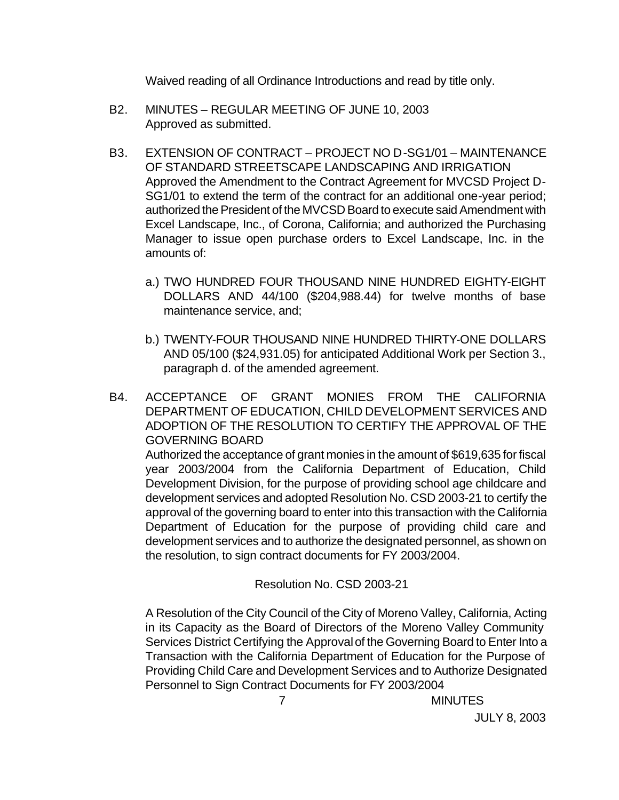Waived reading of all Ordinance Introductions and read by title only.

- B2. MINUTES REGULAR MEETING OF JUNE 10, 2003 Approved as submitted.
- B3. EXTENSION OF CONTRACT PROJECT NO D-SG1/01 MAINTENANCE OF STANDARD STREETSCAPE LANDSCAPING AND IRRIGATION Approved the Amendment to the Contract Agreement for MVCSD Project D-SG1/01 to extend the term of the contract for an additional one-year period; authorized the President of the MVCSD Board to execute said Amendment with Excel Landscape, Inc., of Corona, California; and authorized the Purchasing Manager to issue open purchase orders to Excel Landscape, Inc. in the amounts of:
	- a.) TWO HUNDRED FOUR THOUSAND NINE HUNDRED EIGHTY-EIGHT DOLLARS AND 44/100 (\$204,988.44) for twelve months of base maintenance service, and;
	- b.) TWENTY-FOUR THOUSAND NINE HUNDRED THIRTY-ONE DOLLARS AND 05/100 (\$24,931.05) for anticipated Additional Work per Section 3., paragraph d. of the amended agreement.
- B4. ACCEPTANCE OF GRANT MONIES FROM THE CALIFORNIA DEPARTMENT OF EDUCATION, CHILD DEVELOPMENT SERVICES AND ADOPTION OF THE RESOLUTION TO CERTIFY THE APPROVAL OF THE GOVERNING BOARD Authorized the acceptance of grant monies in the amount of \$619,635 for fiscal year 2003/2004 from the California Department of Education, Child Development Division, for the purpose of providing school age childcare and development services and adopted Resolution No. CSD 2003-21 to certify the approval of the governing board to enter into this transaction with the California Department of Education for the purpose of providing child care and

Resolution No. CSD 2003-21

the resolution, to sign contract documents for FY 2003/2004.

A Resolution of the City Council of the City of Moreno Valley, California, Acting in its Capacity as the Board of Directors of the Moreno Valley Community Services District Certifying the Approval of the Governing Board to Enter Into a Transaction with the California Department of Education for the Purpose of Providing Child Care and Development Services and to Authorize Designated Personnel to Sign Contract Documents for FY 2003/2004

development services and to authorize the designated personnel, as shown on

7 MINUTES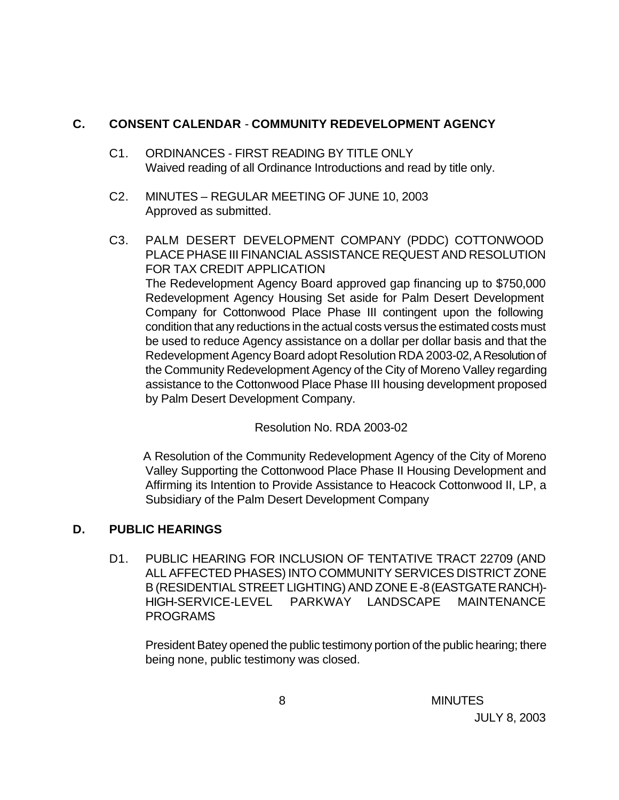# **C. CONSENT CALENDAR** - **COMMUNITY REDEVELOPMENT AGENCY**

- C1. ORDINANCES FIRST READING BY TITLE ONLY Waived reading of all Ordinance Introductions and read by title only.
- C2. MINUTES REGULAR MEETING OF JUNE 10, 2003 Approved as submitted.
- C3. PALM DESERT DEVELOPMENT COMPANY (PDDC) COTTONWOOD PLACE PHASE III FINANCIAL ASSISTANCE REQUEST AND RESOLUTION FOR TAX CREDIT APPLICATION The Redevelopment Agency Board approved gap financing up to \$750,000 Redevelopment Agency Housing Set aside for Palm Desert Development Company for Cottonwood Place Phase III contingent upon the following condition that any reductions in the actual costs versus the estimated costs must be used to reduce Agency assistance on a dollar per dollar basis and that the Redevelopment Agency Board adopt Resolution RDA 2003-02, A Resolution of the Community Redevelopment Agency of the City of Moreno Valley regarding assistance to the Cottonwood Place Phase III housing development proposed by Palm Desert Development Company.

Resolution No. RDA 2003-02

A Resolution of the Community Redevelopment Agency of the City of Moreno Valley Supporting the Cottonwood Place Phase II Housing Development and Affirming its Intention to Provide Assistance to Heacock Cottonwood II, LP, a Subsidiary of the Palm Desert Development Company

# **D. PUBLIC HEARINGS**

D1. PUBLIC HEARING FOR INCLUSION OF TENTATIVE TRACT 22709 (AND ALL AFFECTED PHASES) INTO COMMUNITY SERVICES DISTRICT ZONE B (RESIDENTIAL STREET LIGHTING) AND ZONE E-8 (EASTGATE RANCH)- HIGH-SERVICE-LEVEL PARKWAY LANDSCAPE MAINTENANCE PROGRAMS

President Batey opened the public testimony portion of the public hearing; there being none, public testimony was closed.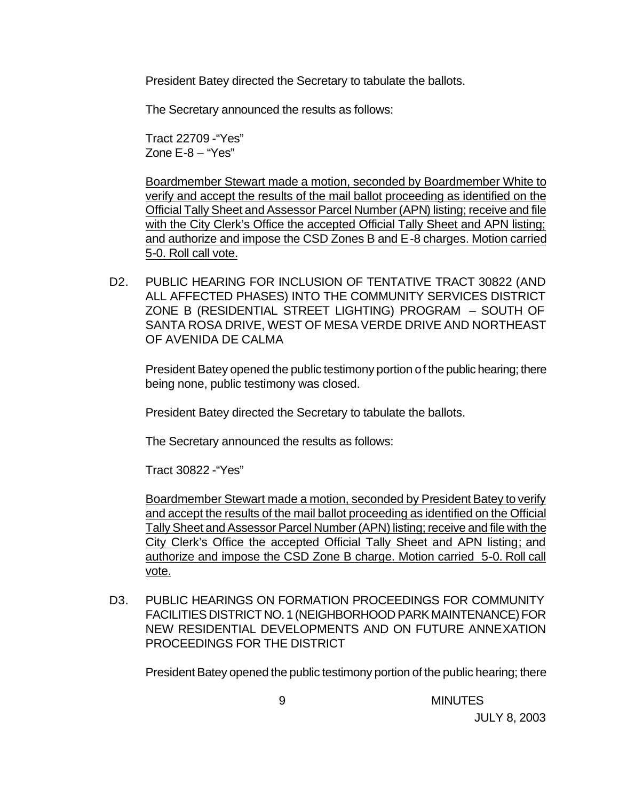President Batey directed the Secretary to tabulate the ballots.

The Secretary announced the results as follows:

Tract 22709 -"Yes" Zone E-8 – "Yes"

Boardmember Stewart made a motion, seconded by Boardmember White to verify and accept the results of the mail ballot proceeding as identified on the Official Tally Sheet and Assessor Parcel Number (APN) listing; receive and file with the City Clerk's Office the accepted Official Tally Sheet and APN listing; and authorize and impose the CSD Zones B and E-8 charges. Motion carried 5-0. Roll call vote.

D2. PUBLIC HEARING FOR INCLUSION OF TENTATIVE TRACT 30822 (AND ALL AFFECTED PHASES) INTO THE COMMUNITY SERVICES DISTRICT ZONE B (RESIDENTIAL STREET LIGHTING) PROGRAM – SOUTH OF SANTA ROSA DRIVE, WEST OF MESA VERDE DRIVE AND NORTHEAST OF AVENIDA DE CALMA

President Batey opened the public testimony portion of the public hearing; there being none, public testimony was closed.

President Batey directed the Secretary to tabulate the ballots.

The Secretary announced the results as follows:

Tract 30822 -"Yes"

Boardmember Stewart made a motion, seconded by President Batey to verify and accept the results of the mail ballot proceeding as identified on the Official Tally Sheet and Assessor Parcel Number (APN) listing; receive and file with the City Clerk's Office the accepted Official Tally Sheet and APN listing; and authorize and impose the CSD Zone B charge. Motion carried 5-0. Roll call vote.

D3. PUBLIC HEARINGS ON FORMATION PROCEEDINGS FOR COMMUNITY FACILITIES DISTRICT NO. 1 (NEIGHBORHOOD PARK MAINTENANCE) FOR NEW RESIDENTIAL DEVELOPMENTS AND ON FUTURE ANNEXATION PROCEEDINGS FOR THE DISTRICT

President Batey opened the public testimony portion of the public hearing; there

9 MINUTES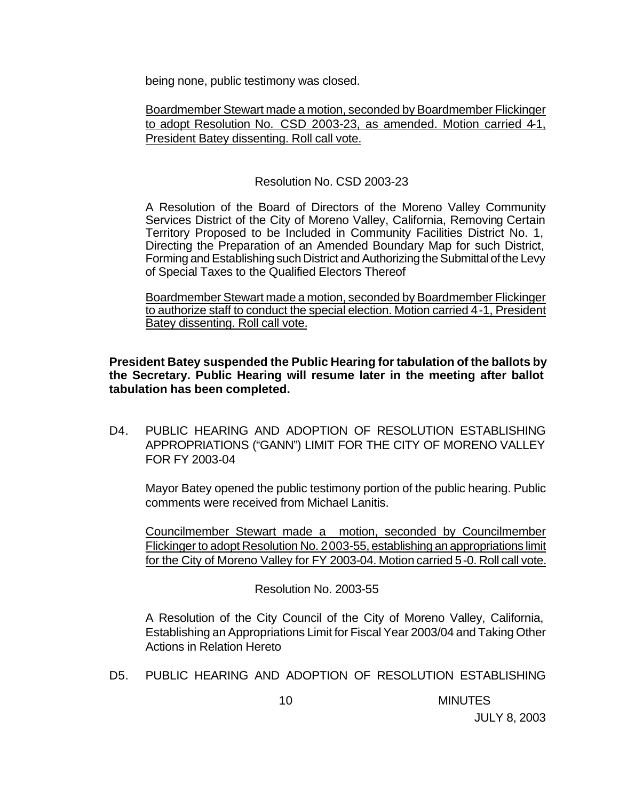being none, public testimony was closed.

Boardmember Stewart made a motion, seconded by Boardmember Flickinger to adopt Resolution No. CSD 2003-23, as amended. Motion carried 4-1, President Batey dissenting. Roll call vote.

Resolution No. CSD 2003-23

A Resolution of the Board of Directors of the Moreno Valley Community Services District of the City of Moreno Valley, California, Removing Certain Territory Proposed to be Included in Community Facilities District No. 1, Directing the Preparation of an Amended Boundary Map for such District, Forming and Establishing such District and Authorizing the Submittal of the Levy of Special Taxes to the Qualified Electors Thereof

Boardmember Stewart made a motion, seconded by Boardmember Flickinger to authorize staff to conduct the special election. Motion carried 4-1, President Batey dissenting. Roll call vote.

**President Batey suspended the Public Hearing for tabulation of the ballots by the Secretary. Public Hearing will resume later in the meeting after ballot tabulation has been completed.**

D4. PUBLIC HEARING AND ADOPTION OF RESOLUTION ESTABLISHING APPROPRIATIONS ("GANN") LIMIT FOR THE CITY OF MORENO VALLEY FOR FY 2003-04

Mayor Batey opened the public testimony portion of the public hearing. Public comments were received from Michael Lanitis.

Councilmember Stewart made a motion, seconded by Councilmember Flickinger to adopt Resolution No. 2003-55, establishing an appropriations limit for the City of Moreno Valley for FY 2003-04. Motion carried 5-0. Roll call vote.

Resolution No. 2003-55

A Resolution of the City Council of the City of Moreno Valley, California, Establishing an Appropriations Limit for Fiscal Year 2003/04 and Taking Other Actions in Relation Hereto

D5. PUBLIC HEARING AND ADOPTION OF RESOLUTION ESTABLISHING

10 MINUTES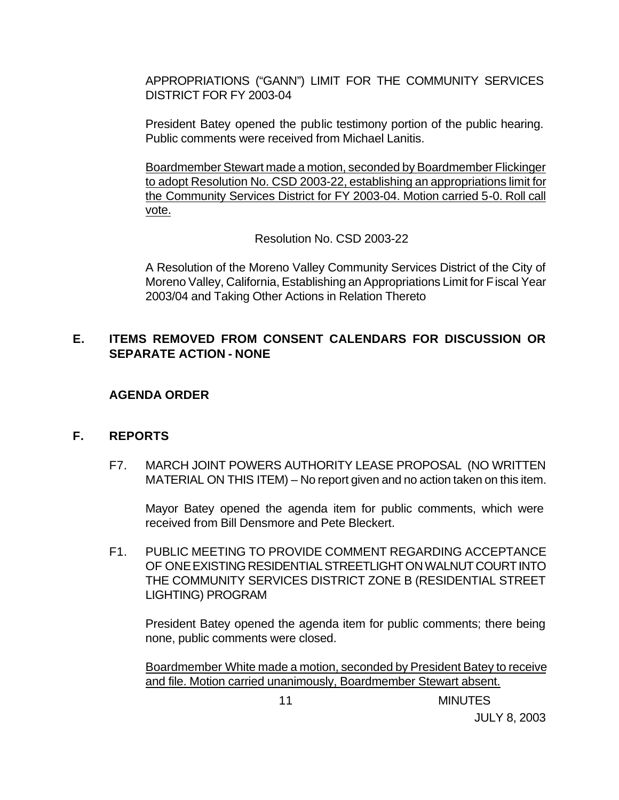APPROPRIATIONS ("GANN") LIMIT FOR THE COMMUNITY SERVICES DISTRICT FOR FY 2003-04

President Batey opened the public testimony portion of the public hearing. Public comments were received from Michael Lanitis.

Boardmember Stewart made a motion, seconded by Boardmember Flickinger to adopt Resolution No. CSD 2003-22, establishing an appropriations limit for the Community Services District for FY 2003-04. Motion carried 5-0. Roll call vote.

Resolution No. CSD 2003-22

A Resolution of the Moreno Valley Community Services District of the City of Moreno Valley, California, Establishing an Appropriations Limit for Fiscal Year 2003/04 and Taking Other Actions in Relation Thereto

## **E. ITEMS REMOVED FROM CONSENT CALENDARS FOR DISCUSSION OR SEPARATE ACTION - NONE**

### **AGENDA ORDER**

#### **F. REPORTS**

F7. MARCH JOINT POWERS AUTHORITY LEASE PROPOSAL (NO WRITTEN MATERIAL ON THIS ITEM) – No report given and no action taken on this item.

Mayor Batey opened the agenda item for public comments, which were received from Bill Densmore and Pete Bleckert.

F1. PUBLIC MEETING TO PROVIDE COMMENT REGARDING ACCEPTANCE OF ONE EXISTING RESIDENTIAL STREETLIGHT ON WALNUT COURT INTO THE COMMUNITY SERVICES DISTRICT ZONE B (RESIDENTIAL STREET LIGHTING) PROGRAM

President Batey opened the agenda item for public comments; there being none, public comments were closed.

Boardmember White made a motion, seconded by President Batey to receive and file. Motion carried unanimously, Boardmember Stewart absent.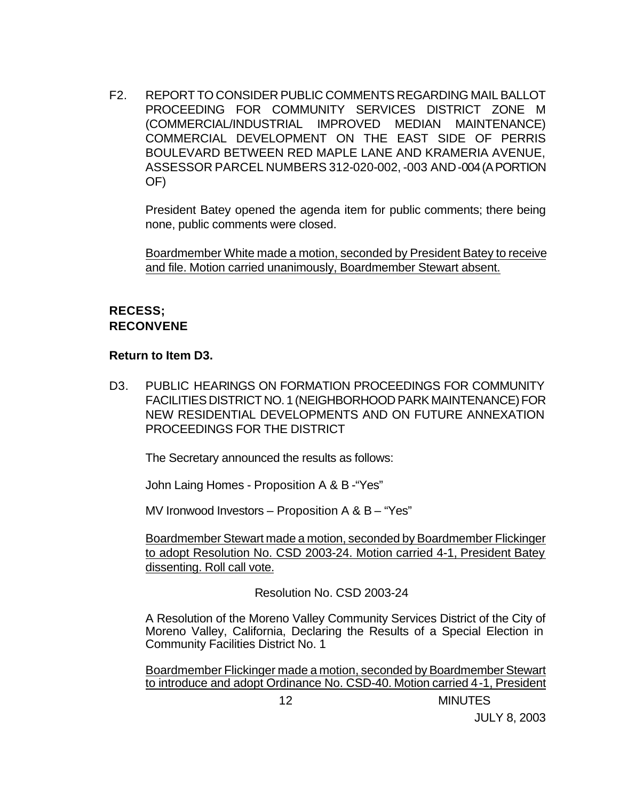F2. REPORT TO CONSIDER PUBLIC COMMENTS REGARDING MAIL BALLOT PROCEEDING FOR COMMUNITY SERVICES DISTRICT ZONE M (COMMERCIAL/INDUSTRIAL IMPROVED MEDIAN MAINTENANCE) COMMERCIAL DEVELOPMENT ON THE EAST SIDE OF PERRIS BOULEVARD BETWEEN RED MAPLE LANE AND KRAMERIA AVENUE, ASSESSOR PARCEL NUMBERS 312-020-002, -003 AND -004 (A PORTION OF)

President Batey opened the agenda item for public comments; there being none, public comments were closed.

Boardmember White made a motion, seconded by President Batey to receive and file. Motion carried unanimously, Boardmember Stewart absent.

## **RECESS; RECONVENE**

#### **Return to Item D3.**

D3. PUBLIC HEARINGS ON FORMATION PROCEEDINGS FOR COMMUNITY FACILITIES DISTRICT NO. 1 (NEIGHBORHOOD PARK MAINTENANCE) FOR NEW RESIDENTIAL DEVELOPMENTS AND ON FUTURE ANNEXATION PROCEEDINGS FOR THE DISTRICT

The Secretary announced the results as follows:

John Laing Homes - Proposition A & B -"Yes"

MV Ironwood Investors – Proposition A & B – "Yes"

Boardmember Stewart made a motion, seconded by Boardmember Flickinger to adopt Resolution No. CSD 2003-24. Motion carried 4-1, President Batey dissenting. Roll call vote.

Resolution No. CSD 2003-24

A Resolution of the Moreno Valley Community Services District of the City of Moreno Valley, California, Declaring the Results of a Special Election in Community Facilities District No. 1

Boardmember Flickinger made a motion, seconded by Boardmember Stewart to introduce and adopt Ordinance No. CSD-40. Motion carried 4-1, President

12 MINUTES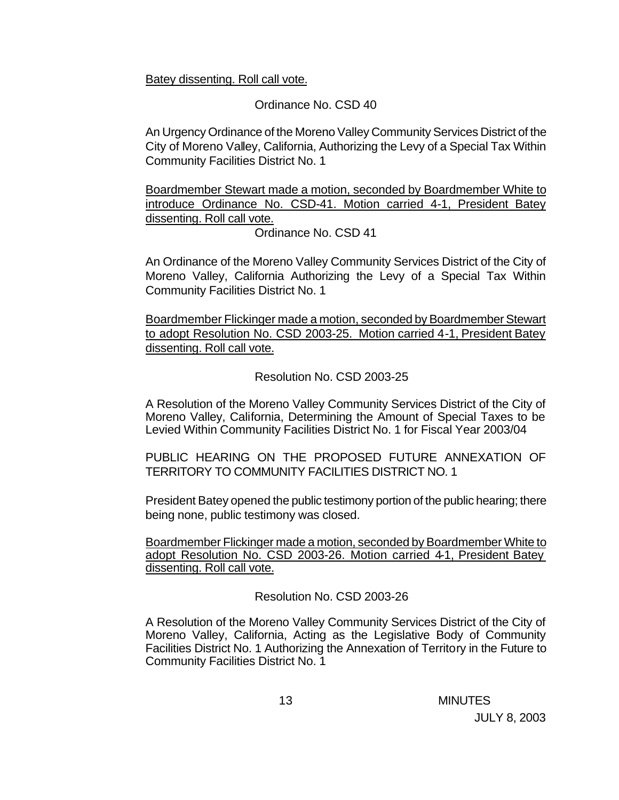Batey dissenting. Roll call vote.

### Ordinance No. CSD 40

An Urgency Ordinance of the Moreno Valley Community Services District of the City of Moreno Valley, California, Authorizing the Levy of a Special Tax Within Community Facilities District No. 1

Boardmember Stewart made a motion, seconded by Boardmember White to introduce Ordinance No. CSD-41. Motion carried 4-1, President Batey dissenting. Roll call vote.

Ordinance No. CSD 41

An Ordinance of the Moreno Valley Community Services District of the City of Moreno Valley, California Authorizing the Levy of a Special Tax Within Community Facilities District No. 1

Boardmember Flickinger made a motion, seconded by Boardmember Stewart to adopt Resolution No. CSD 2003-25. Motion carried 4-1, President Batey dissenting. Roll call vote.

Resolution No. CSD 2003-25

A Resolution of the Moreno Valley Community Services District of the City of Moreno Valley, California, Determining the Amount of Special Taxes to be Levied Within Community Facilities District No. 1 for Fiscal Year 2003/04

PUBLIC HEARING ON THE PROPOSED FUTURE ANNEXATION OF TERRITORY TO COMMUNITY FACILITIES DISTRICT NO. 1

President Batey opened the public testimony portion of the public hearing; there being none, public testimony was closed.

Boardmember Flickinger made a motion, seconded by Boardmember White to adopt Resolution No. CSD 2003-26. Motion carried 4-1, President Batey dissenting. Roll call vote.

Resolution No. CSD 2003-26

A Resolution of the Moreno Valley Community Services District of the City of Moreno Valley, California, Acting as the Legislative Body of Community Facilities District No. 1 Authorizing the Annexation of Territory in the Future to Community Facilities District No. 1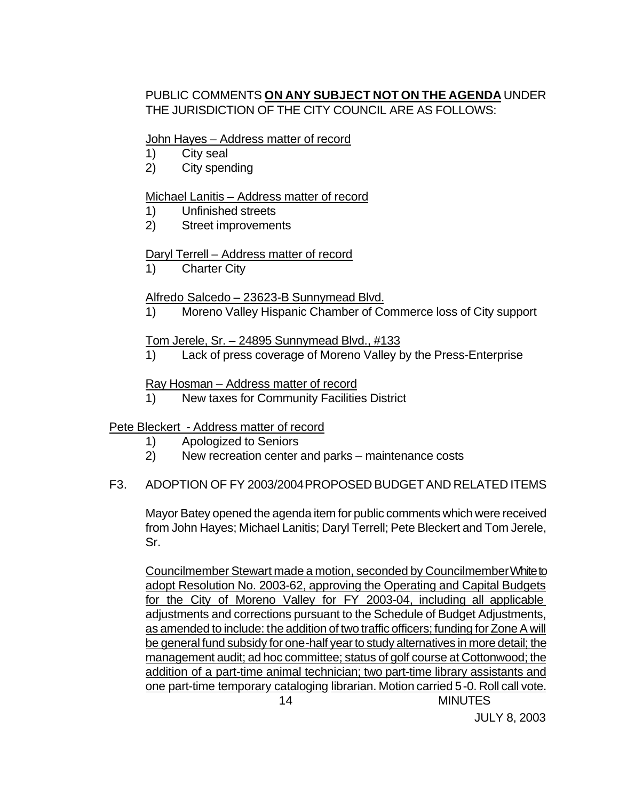# PUBLIC COMMENTS **ON ANY SUBJECT NOT ON THE AGENDA** UNDER THE JURISDICTION OF THE CITY COUNCIL ARE AS FOLLOWS:

#### John Hayes – Address matter of record

- 1) City seal
- 2) City spending

### Michael Lanitis – Address matter of record

- 1) Unfinished streets
- 2) Street improvements

### Daryl Terrell – Address matter of record

1) Charter City

### Alfredo Salcedo – 23623-B Sunnymead Blvd.

1) Moreno Valley Hispanic Chamber of Commerce loss of City support

#### Tom Jerele, Sr. – 24895 Sunnymead Blvd., #133

1) Lack of press coverage of Moreno Valley by the Press-Enterprise

### Ray Hosman – Address matter of record

1) New taxes for Community Facilities District

## Pete Bleckert - Address matter of record

- 1) Apologized to Seniors
- 2) New recreation center and parks maintenance costs

#### F3. ADOPTION OF FY 2003/2004 PROPOSED BUDGET AND RELATED ITEMS

Mayor Batey opened the agenda item for public comments which were received from John Hayes; Michael Lanitis; Daryl Terrell; Pete Bleckert and Tom Jerele, Sr.

 14 MINUTES Councilmember Stewart made a motion, seconded by Councilmember White to adopt Resolution No. 2003-62, approving the Operating and Capital Budgets for the City of Moreno Valley for FY 2003-04, including all applicable adjustments and corrections pursuant to the Schedule of Budget Adjustments, as amended to include: the addition of two traffic officers; funding for Zone A will be general fund subsidy for one-half year to study alternatives in more detail; the management audit; ad hoc committee; status of golf course at Cottonwood; the addition of a part-time animal technician; two part-time library assistants and one part-time temporary cataloging librarian. Motion carried 5-0. Roll call vote.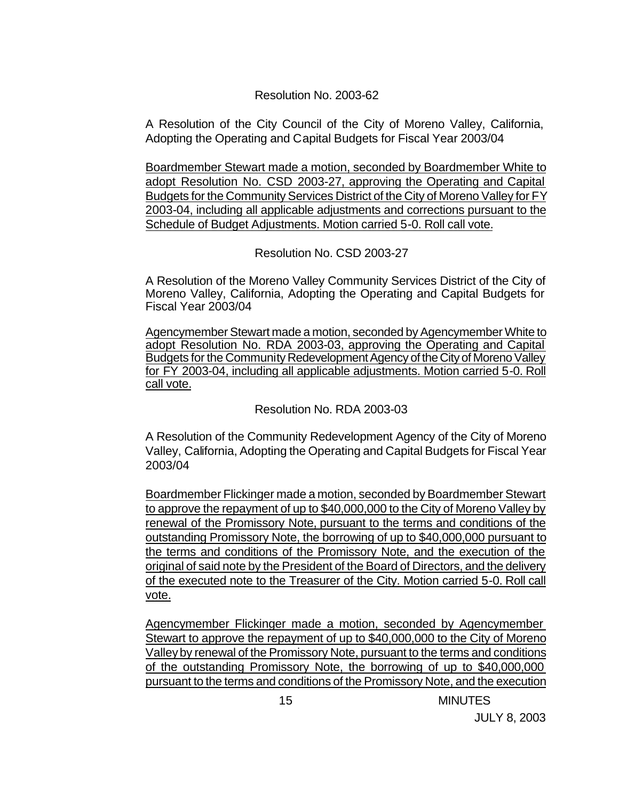#### Resolution No. 2003-62

A Resolution of the City Council of the City of Moreno Valley, California, Adopting the Operating and Capital Budgets for Fiscal Year 2003/04

Boardmember Stewart made a motion, seconded by Boardmember White to adopt Resolution No. CSD 2003-27, approving the Operating and Capital Budgets for the Community Services District of the City of Moreno Valley for FY 2003-04, including all applicable adjustments and corrections pursuant to the Schedule of Budget Adjustments. Motion carried 5-0. Roll call vote.

### Resolution No. CSD 2003-27

A Resolution of the Moreno Valley Community Services District of the City of Moreno Valley, California, Adopting the Operating and Capital Budgets for Fiscal Year 2003/04

Agencymember Stewart made a motion, seconded by Agencymember White to adopt Resolution No. RDA 2003-03, approving the Operating and Capital Budgets for the Community Redevelopment Agency of the City of Moreno Valley for FY 2003-04, including all applicable adjustments. Motion carried 5-0. Roll call vote.

## Resolution No. RDA 2003-03

A Resolution of the Community Redevelopment Agency of the City of Moreno Valley, California, Adopting the Operating and Capital Budgets for Fiscal Year 2003/04

Boardmember Flickinger made a motion, seconded by Boardmember Stewart to approve the repayment of up to \$40,000,000 to the City of Moreno Valley by renewal of the Promissory Note, pursuant to the terms and conditions of the outstanding Promissory Note, the borrowing of up to \$40,000,000 pursuant to the terms and conditions of the Promissory Note, and the execution of the original of said note by the President of the Board of Directors, and the delivery of the executed note to the Treasurer of the City. Motion carried 5-0. Roll call vote.

Agencymember Flickinger made a motion, seconded by Agencymember Stewart to approve the repayment of up to \$40,000,000 to the City of Moreno Valley by renewal of the Promissory Note, pursuant to the terms and conditions of the outstanding Promissory Note, the borrowing of up to \$40,000,000 pursuant to the terms and conditions of the Promissory Note, and the execution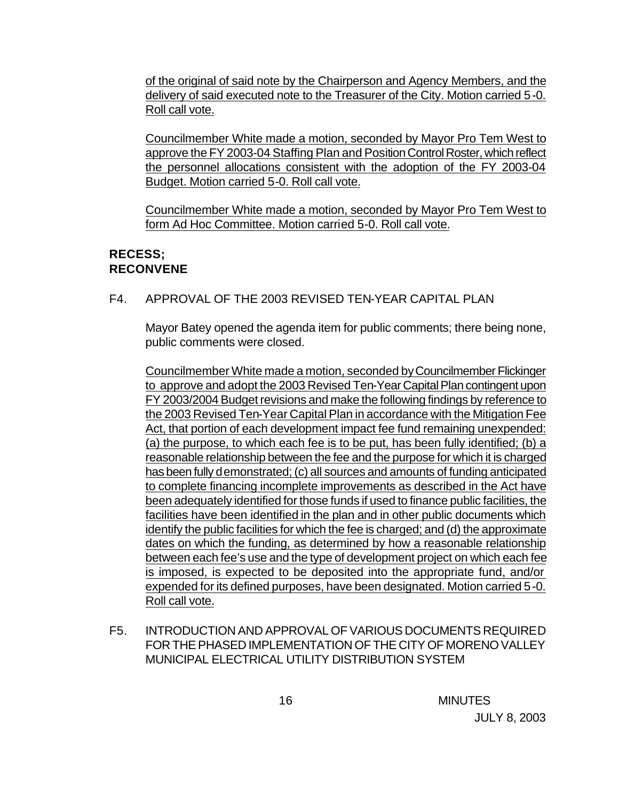of the original of said note by the Chairperson and Agency Members, and the delivery of said executed note to the Treasurer of the City. Motion carried 5-0. Roll call vote.

Councilmember White made a motion, seconded by Mayor Pro Tem West to approve the FY 2003-04 Staffing Plan and Position Control Roster, which reflect the personnel allocations consistent with the adoption of the FY 2003-04 Budget. Motion carried 5-0. Roll call vote.

Councilmember White made a motion, seconded by Mayor Pro Tem West to form Ad Hoc Committee. Motion carried 5-0. Roll call vote.

# **RECESS; RECONVENE**

F4. APPROVAL OF THE 2003 REVISED TEN-YEAR CAPITAL PLAN

Mayor Batey opened the agenda item for public comments; there being none, public comments were closed.

Councilmember White made a motion, seconded by Councilmember Flickinger to approve and adopt the 2003 Revised Ten-Year Capital Plan contingent upon FY 2003/2004 Budget revisions and make the following findings by reference to the 2003 Revised Ten-Year Capital Plan in accordance with the Mitigation Fee Act, that portion of each development impact fee fund remaining unexpended: (a) the purpose, to which each fee is to be put, has been fully identified; (b) a reasonable relationship between the fee and the purpose for which it is charged has been fully demonstrated; (c) all sources and amounts of funding anticipated to complete financing incomplete improvements as described in the Act have been adequately identified for those funds if used to finance public facilities, the facilities have been identified in the plan and in other public documents which identify the public facilities for which the fee is charged; and (d) the approximate dates on which the funding, as determined by how a reasonable relationship between each fee's use and the type of development project on which each fee is imposed, is expected to be deposited into the appropriate fund, and/or expended for its defined purposes, have been designated. Motion carried 5-0. Roll call vote.

F5. INTRODUCTION AND APPROVAL OF VARIOUS DOCUMENTS REQUIRED FOR THE PHASED IMPLEMENTATION OF THE CITY OF MORENO VALLEY MUNICIPAL ELECTRICAL UTILITY DISTRIBUTION SYSTEM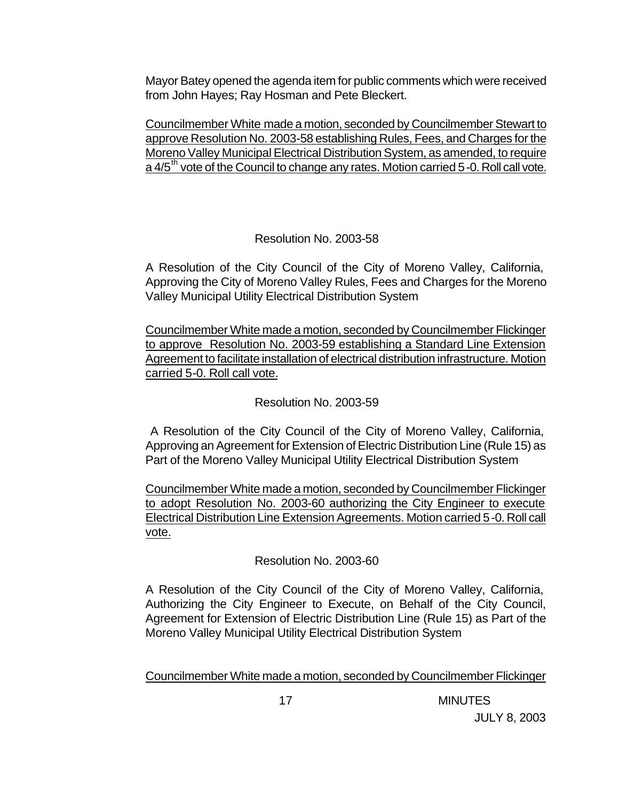Mayor Batey opened the agenda item for public comments which were received from John Hayes; Ray Hosman and Pete Bleckert.

Councilmember White made a motion, seconded by Councilmember Stewart to approve Resolution No. 2003-58 establishing Rules, Fees, and Charges for the Moreno Valley Municipal Electrical Distribution System, as amended, to require a  $4/5$ <sup>th</sup> vote of the Council to change any rates. Motion carried 5-0. Roll call vote.

# Resolution No. 2003-58

A Resolution of the City Council of the City of Moreno Valley, California, Approving the City of Moreno Valley Rules, Fees and Charges for the Moreno Valley Municipal Utility Electrical Distribution System

Councilmember White made a motion, seconded by Councilmember Flickinger to approve Resolution No. 2003-59 establishing a Standard Line Extension Agreement to facilitate installation of electrical distribution infrastructure. Motion carried 5-0. Roll call vote.

## Resolution No. 2003-59

 A Resolution of the City Council of the City of Moreno Valley, California, Approving an Agreement for Extension of Electric Distribution Line (Rule 15) as Part of the Moreno Valley Municipal Utility Electrical Distribution System

Councilmember White made a motion, seconded by Councilmember Flickinger to adopt Resolution No. 2003-60 authorizing the City Engineer to execute Electrical Distribution Line Extension Agreements. Motion carried 5-0. Roll call vote.

## Resolution No. 2003-60

A Resolution of the City Council of the City of Moreno Valley, California, Authorizing the City Engineer to Execute, on Behalf of the City Council, Agreement for Extension of Electric Distribution Line (Rule 15) as Part of the Moreno Valley Municipal Utility Electrical Distribution System

Councilmember White made a motion, seconded by Councilmember Flickinger

17 MINUTES JULY 8, 2003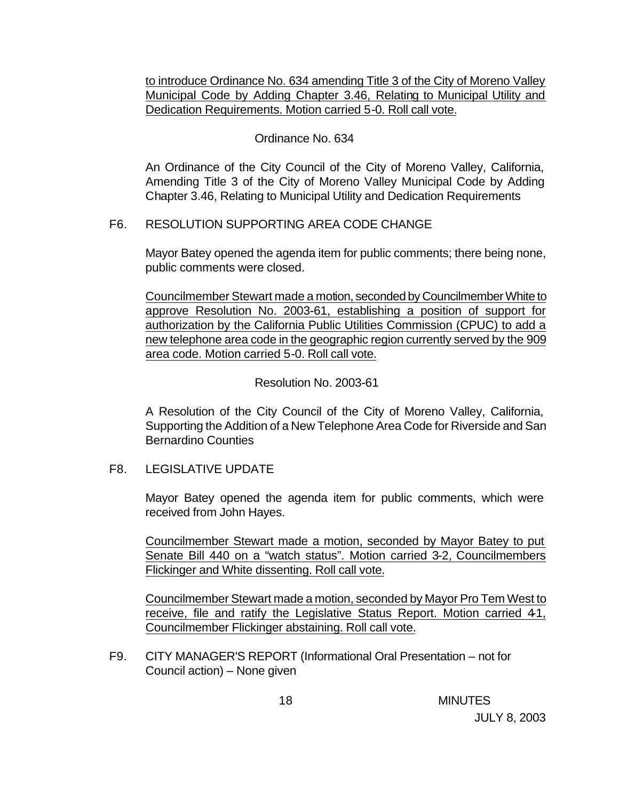to introduce Ordinance No. 634 amending Title 3 of the City of Moreno Valley Municipal Code by Adding Chapter 3.46, Relating to Municipal Utility and Dedication Requirements. Motion carried 5-0. Roll call vote.

### Ordinance No. 634

An Ordinance of the City Council of the City of Moreno Valley, California, Amending Title 3 of the City of Moreno Valley Municipal Code by Adding Chapter 3.46, Relating to Municipal Utility and Dedication Requirements

### F6. RESOLUTION SUPPORTING AREA CODE CHANGE

Mayor Batey opened the agenda item for public comments; there being none, public comments were closed.

Councilmember Stewart made a motion, seconded by Councilmember White to approve Resolution No. 2003-61, establishing a position of support for authorization by the California Public Utilities Commission (CPUC) to add a new telephone area code in the geographic region currently served by the 909 area code. Motion carried 5-0. Roll call vote.

### Resolution No. 2003-61

A Resolution of the City Council of the City of Moreno Valley, California, Supporting the Addition of a New Telephone Area Code for Riverside and San Bernardino Counties

## F8. LEGISLATIVE UPDATE

Mayor Batey opened the agenda item for public comments, which were received from John Hayes.

Councilmember Stewart made a motion, seconded by Mayor Batey to put Senate Bill 440 on a "watch status". Motion carried 3-2, Councilmembers Flickinger and White dissenting. Roll call vote.

Councilmember Stewart made a motion, seconded by Mayor Pro Tem West to receive, file and ratify the Legislative Status Report. Motion carried 41, Councilmember Flickinger abstaining. Roll call vote.

F9. CITY MANAGER'S REPORT (Informational Oral Presentation – not for Council action) – None given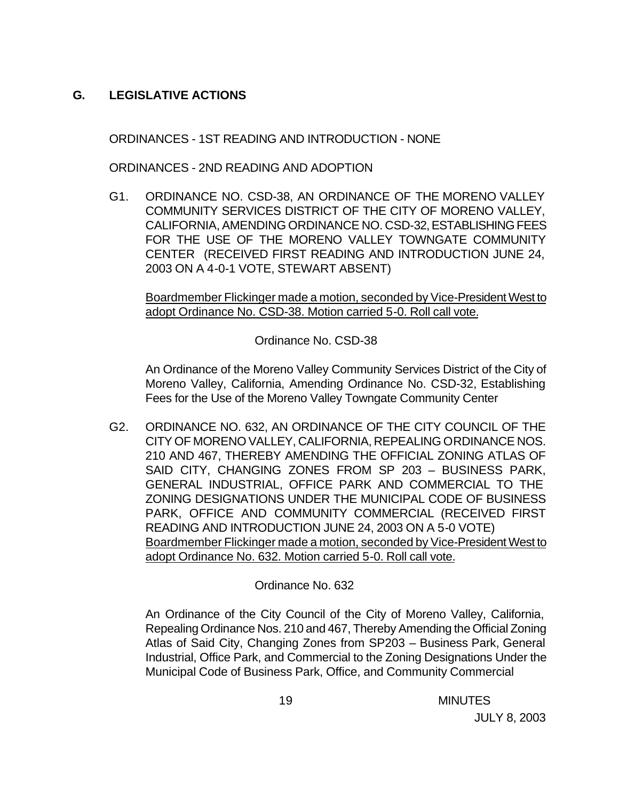# **G. LEGISLATIVE ACTIONS**

ORDINANCES - 1ST READING AND INTRODUCTION - NONE

ORDINANCES - 2ND READING AND ADOPTION

G1. ORDINANCE NO. CSD-38, AN ORDINANCE OF THE MORENO VALLEY COMMUNITY SERVICES DISTRICT OF THE CITY OF MORENO VALLEY, CALIFORNIA, AMENDING ORDINANCE NO. CSD-32, ESTABLISHING FEES FOR THE USE OF THE MORENO VALLEY TOWNGATE COMMUNITY CENTER (RECEIVED FIRST READING AND INTRODUCTION JUNE 24, 2003 ON A 4-0-1 VOTE, STEWART ABSENT)

Boardmember Flickinger made a motion, seconded by Vice-President West to adopt Ordinance No. CSD-38. Motion carried 5-0. Roll call vote.

Ordinance No. CSD-38

An Ordinance of the Moreno Valley Community Services District of the City of Moreno Valley, California, Amending Ordinance No. CSD-32, Establishing Fees for the Use of the Moreno Valley Towngate Community Center

G2. ORDINANCE NO. 632, AN ORDINANCE OF THE CITY COUNCIL OF THE CITY OF MORENO VALLEY, CALIFORNIA, REPEALING ORDINANCE NOS. 210 AND 467, THEREBY AMENDING THE OFFICIAL ZONING ATLAS OF SAID CITY, CHANGING ZONES FROM SP 203 – BUSINESS PARK, GENERAL INDUSTRIAL, OFFICE PARK AND COMMERCIAL TO THE ZONING DESIGNATIONS UNDER THE MUNICIPAL CODE OF BUSINESS PARK, OFFICE AND COMMUNITY COMMERCIAL (RECEIVED FIRST READING AND INTRODUCTION JUNE 24, 2003 ON A 5-0 VOTE) Boardmember Flickinger made a motion, seconded by Vice-President West to adopt Ordinance No. 632. Motion carried 5-0. Roll call vote.

## Ordinance No. 632

An Ordinance of the City Council of the City of Moreno Valley, California, Repealing Ordinance Nos. 210 and 467, Thereby Amending the Official Zoning Atlas of Said City, Changing Zones from SP203 – Business Park, General Industrial, Office Park, and Commercial to the Zoning Designations Under the Municipal Code of Business Park, Office, and Community Commercial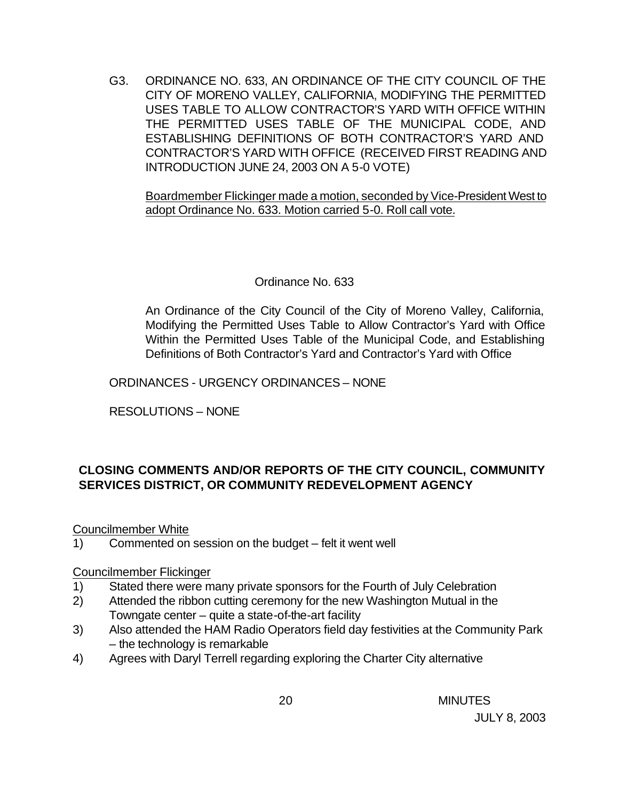G3. ORDINANCE NO. 633, AN ORDINANCE OF THE CITY COUNCIL OF THE CITY OF MORENO VALLEY, CALIFORNIA, MODIFYING THE PERMITTED USES TABLE TO ALLOW CONTRACTOR'S YARD WITH OFFICE WITHIN THE PERMITTED USES TABLE OF THE MUNICIPAL CODE, AND ESTABLISHING DEFINITIONS OF BOTH CONTRACTOR'S YARD AND CONTRACTOR'S YARD WITH OFFICE (RECEIVED FIRST READING AND INTRODUCTION JUNE 24, 2003 ON A 5-0 VOTE)

Boardmember Flickinger made a motion, seconded by Vice-President West to adopt Ordinance No. 633. Motion carried 5-0. Roll call vote.

### Ordinance No. 633

An Ordinance of the City Council of the City of Moreno Valley, California, Modifying the Permitted Uses Table to Allow Contractor's Yard with Office Within the Permitted Uses Table of the Municipal Code, and Establishing Definitions of Both Contractor's Yard and Contractor's Yard with Office

ORDINANCES - URGENCY ORDINANCES – NONE

RESOLUTIONS – NONE

# **CLOSING COMMENTS AND/OR REPORTS OF THE CITY COUNCIL, COMMUNITY SERVICES DISTRICT, OR COMMUNITY REDEVELOPMENT AGENCY**

Councilmember White

1) Commented on session on the budget – felt it went well

#### Councilmember Flickinger

- 1) Stated there were many private sponsors for the Fourth of July Celebration
- 2) Attended the ribbon cutting ceremony for the new Washington Mutual in the Towngate center – quite a state-of-the-art facility
- 3) Also attended the HAM Radio Operators field day festivities at the Community Park – the technology is remarkable
- 4) Agrees with Daryl Terrell regarding exploring the Charter City alternative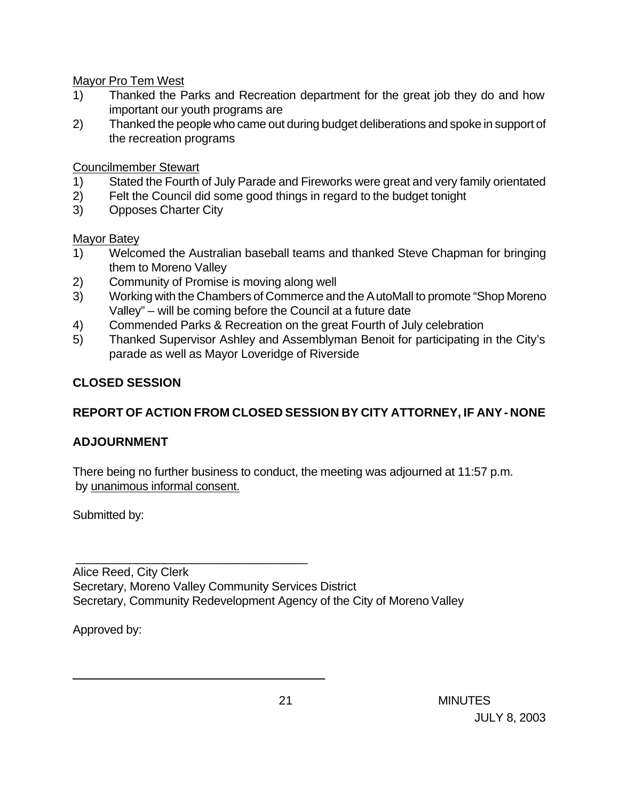Mayor Pro Tem West

- 1) Thanked the Parks and Recreation department for the great job they do and how important our youth programs are
- 2) Thanked the people who came out during budget deliberations and spoke in support of the recreation programs

Councilmember Stewart

- 1) Stated the Fourth of July Parade and Fireworks were great and very family orientated
- 2) Felt the Council did some good things in regard to the budget tonight
- 3) Opposes Charter City

## Mayor Batey

- 1) Welcomed the Australian baseball teams and thanked Steve Chapman for bringing them to Moreno Valley
- 2) Community of Promise is moving along well

\_\_\_\_\_\_\_\_\_\_\_\_\_\_\_\_\_\_\_\_\_\_\_\_\_\_\_\_\_\_\_\_\_\_

\_\_\_\_\_\_\_\_\_\_\_\_\_\_\_\_\_\_\_\_\_\_\_\_\_\_\_\_\_\_\_\_\_\_\_\_\_

- 3) Working with the Chambers of Commerce and the AutoMall to promote "Shop Moreno Valley" – will be coming before the Council at a future date
- 4) Commended Parks & Recreation on the great Fourth of July celebration
- 5) Thanked Supervisor Ashley and Assemblyman Benoit for participating in the City's parade as well as Mayor Loveridge of Riverside

# **CLOSED SESSION**

# **REPORT OF ACTION FROM CLOSED SESSION BY CITY ATTORNEY, IF ANY - NONE**

# **ADJOURNMENT**

There being no further business to conduct, the meeting was adjourned at 11:57 p.m. by unanimous informal consent.

Submitted by:

Alice Reed, City Clerk Secretary, Moreno Valley Community Services District Secretary, Community Redevelopment Agency of the City of Moreno Valley

Approved by:

 21 MINUTES JULY 8, 2003